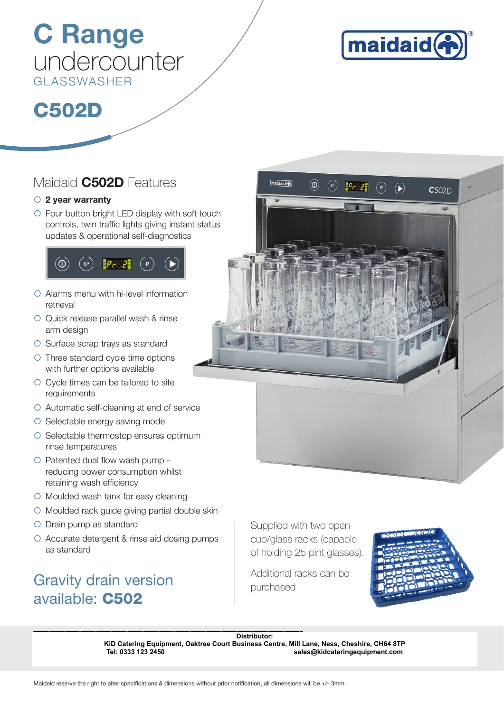# C Range undercounter GLASSWASHER



# C502D

### Maidaid **C502D** Features

### $\circ$  2 year warranty

 $\circ$  Four button bright LED display with soft touch controls, twin traffic lights giving instant status updates & operational self-diagnostics



- $\circ$  Alarms menu with hi-level information retrieval
- O Quick release parallel wash & rinse arm design
- O Surface scrap trays as standard
- { Three standard cycle time options with further options available
- { Cycle times can be tailored to site requirements
- $\circ$  Automatic self-cleaning at end of service
- $\circ$  Selectable energy saving mode
- ${\circ}$  Selectable thermostop ensures optimum rinse temperatures
- $\circ$  Patented dual flow wash pump reducing power consumption whilst retaining wash efficiency
- { Moulded wash tank for easy cleaning
- $\circ$  Moulded rack guide giving partial double skin
- { Drain pump as standard
- { Accurate detergent & rinse aid dosing pumps as standard

## Gravity drain version and additional racks can be purchased available: C502



Supplied with two open cup/glass racks (capable of holding 25 pint glasses).



Distributor:<br> **KiD Catering Equipment, Oaktree Court Business Centre, Mill Lane, Ness, C<br>
Tel: 0333 123 2450<br>
Maidaid reserve the right to alter specifications & dimensions without prior notification, all dimensions will b KiD Catering Equipment, Oaktree Court Business Centre, Mill Lane, Ness, Cheshire, CH64 8TP Tel: 0333 123 2450 sales@kidcateringequipment.com**